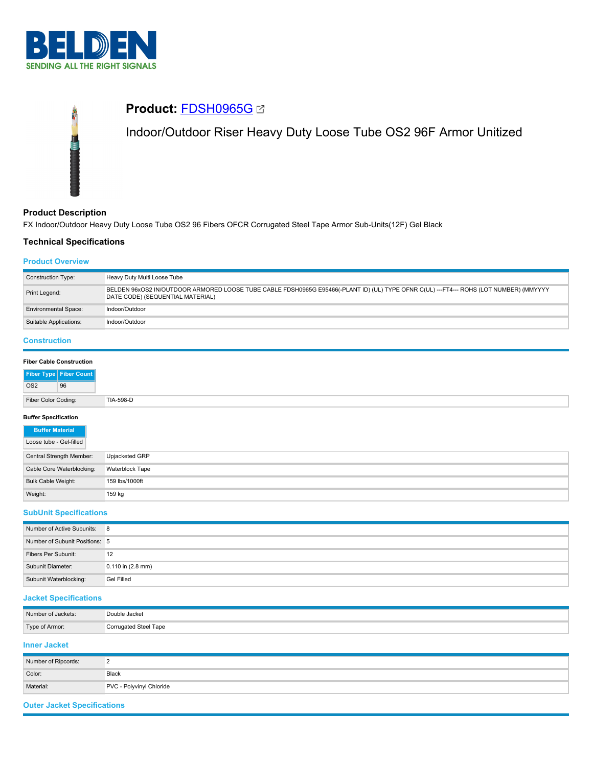



### **Product Description**

FX Indoor/Outdoor Heavy Duty Loose Tube OS2 96 Fibers OFCR Corrugated Steel Tape Armor Sub-Units(12F) Gel Black

## **Technical Specifications**

### **Product Overview**

| BELDEN 96xOS2 IN/OUTDOOR ARMORED LOOSE TUBE CABLE FDSH0965G E95466(-PLANT ID) (UL) TYPE OFNR C(UL) ---FT4--- ROHS (LOT NUMBER) (MMYYYY<br>Print Legend:<br>DATE CODE) (SEQUENTIAL MATERIAL) |  | <b>Construction Type:</b> |  |
|---------------------------------------------------------------------------------------------------------------------------------------------------------------------------------------------|--|---------------------------|--|
|                                                                                                                                                                                             |  |                           |  |
| Indoor/Outdoor<br><b>Environmental Space:</b>                                                                                                                                               |  |                           |  |
| Suitable Applications:<br>Indoor/Outdoor                                                                                                                                                    |  |                           |  |

# **Construction**

### **Buffer Specification**

| <b>Buffer Material</b>    |                 |
|---------------------------|-----------------|
| Loose tube - Gel-filled   |                 |
| Central Strength Member:  | Upjacketed GRP  |
| Cable Core Waterblocking: | Waterblock Tape |
| Bulk Cable Weight:        | 159 lbs/1000ft  |
| Weight:                   | 159 kg          |

### **SubUnit Specifications**

| Number of Active Subunits: 8   |                       |
|--------------------------------|-----------------------|
| Number of Subunit Positions: 5 |                       |
| Fibers Per Subunit:            | 12                    |
| Subunit Diameter:              | $0.110$ in $(2.8$ mm) |
| Subunit Waterblocking:         | Gel Filled            |

### **Jacket Specifications**

| Number of Jackets: | Double Jacket         |
|--------------------|-----------------------|
| Type of Armor:     | Corrugated Steel Tape |

### **Inner Jacket**

| Number of Ripcords: |                          |
|---------------------|--------------------------|
| Color:              | Black                    |
| Material:           | PVC - Polyvinyl Chloride |

### **Outer Jacket Specifications**